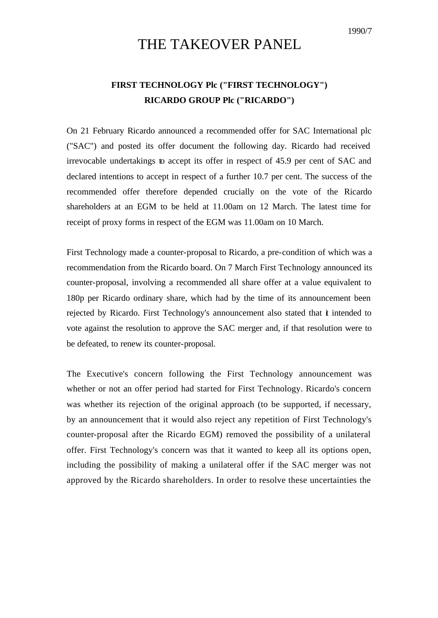1990/7

## THE TAKEOVER PANEL

## **FIRST TECHNOLOGY Plc ("FIRST TECHNOLOGY") RICARDO GROUP Plc ("RICARDO")**

On 21 February Ricardo announced a recommended offer for SAC International plc ("SAC") and posted its offer document the following day. Ricardo had received irrevocable undertakings to accept its offer in respect of 45.9 per cent of SAC and declared intentions to accept in respect of a further 10.7 per cent. The success of the recommended offer therefore depended crucially on the vote of the Ricardo shareholders at an EGM to be held at 11.00am on 12 March. The latest time for receipt of proxy forms in respect of the EGM was 11.00am on 10 March.

First Technology made a counter-proposal to Ricardo, a pre-condition of which was a recommendation from the Ricardo board. On 7 March First Technology announced its counter-proposal, involving a recommended all share offer at a value equivalent to 180p per Ricardo ordinary share, which had by the time of its announcement been rejected by Ricardo. First Technology's announcement also stated that *i* intended to vote against the resolution to approve the SAC merger and, if that resolution were to be defeated, to renew its counter-proposal.

The Executive's concern following the First Technology announcement was whether or not an offer period had started for First Technology. Ricardo's concern was whether its rejection of the original approach (to be supported, if necessary, by an announcement that it would also reject any repetition of First Technology's counter-proposal after the Ricardo EGM) removed the possibility of a unilateral offer. First Technology's concern was that it wanted to keep all its options open, including the possibility of making a unilateral offer if the SAC merger was not approved by the Ricardo shareholders. In order to resolve these uncertainties the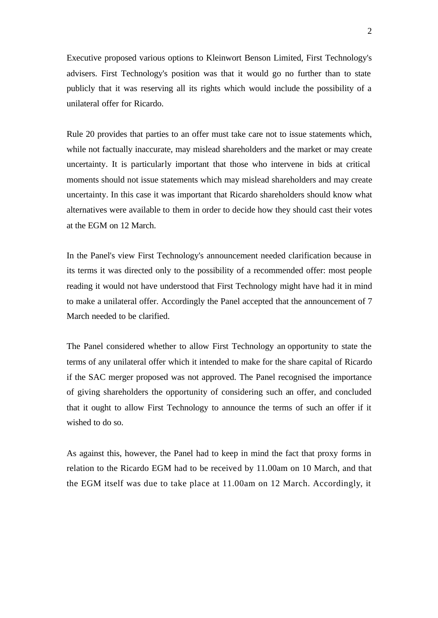Executive proposed various options to Kleinwort Benson Limited, First Technology's advisers. First Technology's position was that it would go no further than to state publicly that it was reserving all its rights which would include the possibility of a unilateral offer for Ricardo.

Rule 20 provides that parties to an offer must take care not to issue statements which, while not factually inaccurate, may mislead shareholders and the market or may create uncertainty. It is particularly important that those who intervene in bids at critical moments should not issue statements which may mislead shareholders and may create uncertainty. In this case it was important that Ricardo shareholders should know what alternatives were available to them in order to decide how they should cast their votes at the EGM on 12 March.

In the Panel's view First Technology's announcement needed clarification because in its terms it was directed only to the possibility of a recommended offer: most people reading it would not have understood that First Technology might have had it in mind to make a unilateral offer. Accordingly the Panel accepted that the announcement of 7 March needed to be clarified.

The Panel considered whether to allow First Technology an opportunity to state the terms of any unilateral offer which it intended to make for the share capital of Ricardo if the SAC merger proposed was not approved. The Panel recognised the importance of giving shareholders the opportunity of considering such an offer, and concluded that it ought to allow First Technology to announce the terms of such an offer if it wished to do so.

As against this, however, the Panel had to keep in mind the fact that proxy forms in relation to the Ricardo EGM had to be received by 11.00am on 10 March, and that the EGM itself was due to take place at 11.00am on 12 March. Accordingly, it